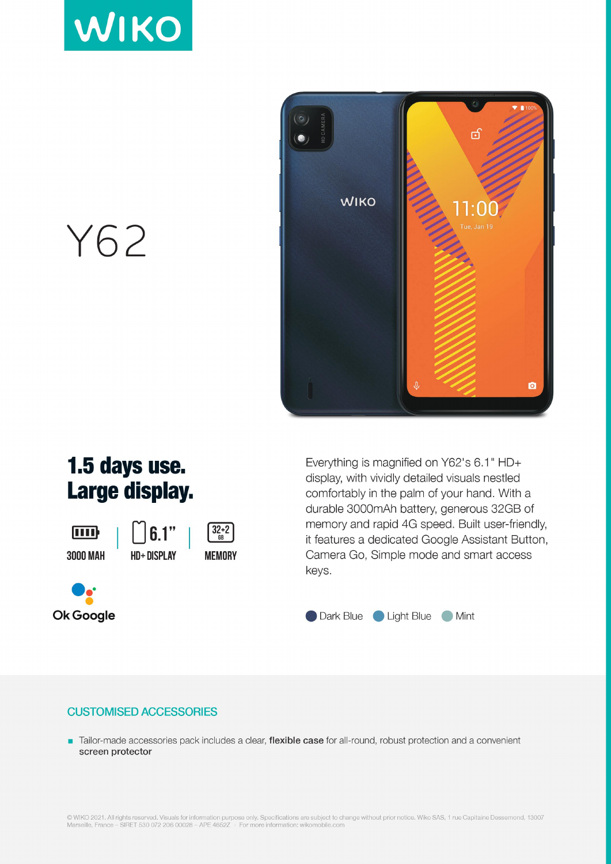



Y62

## 1.5 days use. Large display.

ामा **3000 MAH** 





Everything is magnified on Y62's 6.1" HD+ display, with vividly detailed visuals nestled comfortably in the palm of your hand. With a durable 3000mAh battery, generous 32GB of memory and rapid 4G speed. Built user-friendly, it features a dedicated Google Assistant Button, Camera Go, Simple mode and smart access keys.



## **CUSTOMISED ACCESSORIES**

Tailor-made accessories pack includes a clear, flexible case for all-round, robust protection and a convenient screen protector